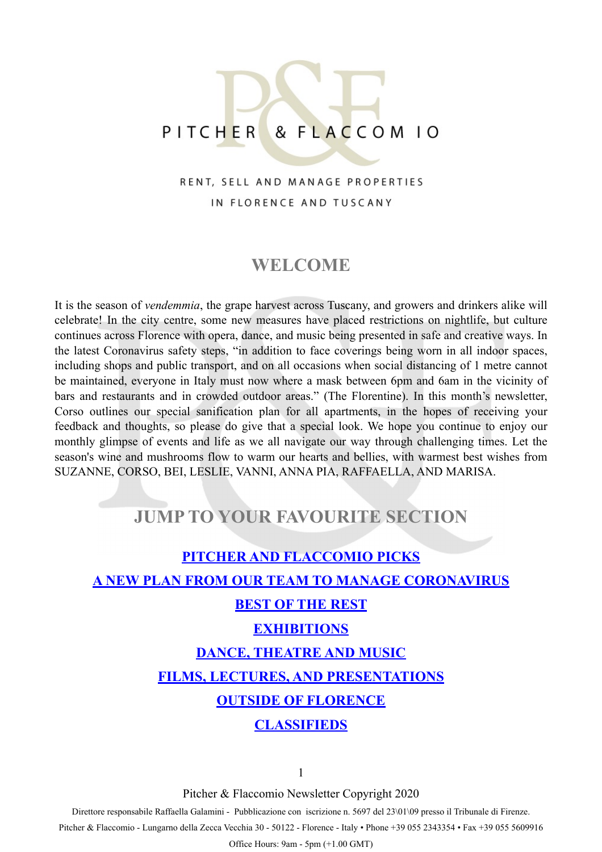# PITCHER & FLACCOM 10

#### RENT, SELL AND MANAGE PROPERTIES IN FLORENCE AND TUSCANY

### **WELCOME**

It is the season of *vendemmia*, the grape harvest across Tuscany, and growers and drinkers alike will celebrate! In the city centre, some new measures have placed restrictions on nightlife, but culture continues across Florence with opera, dance, and music being presented in safe and creative ways. In the latest Coronavirus safety steps, "in addition to face coverings being worn in all indoor spaces, including shops and public transport, and on all occasions when social distancing of 1 metre cannot be maintained, everyone in Italy must now where a mask between 6pm and 6am in the vicinity of bars and restaurants and in crowded outdoor areas." (The Florentine). In this month's newsletter, Corso outlines our special sanification plan for all apartments, in the hopes of receiving your feedback and thoughts, so please do give that a special look. We hope you continue to enjoy our monthly glimpse of events and life as we all navigate our way through challenging times. Let the season's wine and mushrooms flow to warm our hearts and bellies, with warmest best wishes from SUZANNE, CORSO, BEI, LESLIE, VANNI, ANNA PIA, RAFFAELLA, AND MARISA.

### **JUMP TO YOUR FAVOURITE SECTION**

# **[PITCHER AND FLACCOMIO PICKS](#page-1-0) [A NEW PLAN FROM OUR TEAM TO MANAGE CORONAVIRUS](#page-3-0) [BEST OF THE REST](#page-6-0) [EXHIBITIONS](#page-8-0) [DANCE, THEATRE AND MUSIC](#page-10-0) [FILMS, LECTURES, AND PRESENTATIONS](#page-11-0) [OUTSIDE OF FLORENCE](#page-12-0) [CLASSIFIEDS](#page-16-0)**

1

Pitcher & Flaccomio Newsletter Copyright 2020

Direttore responsabile Raffaella Galamini - Pubblicazione con iscrizione n. 5697 del 23\01\09 presso il Tribunale di Firenze.

Pitcher & Flaccomio - Lungarno della Zecca Vecchia 30 - 50122 - Florence - Italy • Phone +39 055 2343354 • Fax +39 055 5609916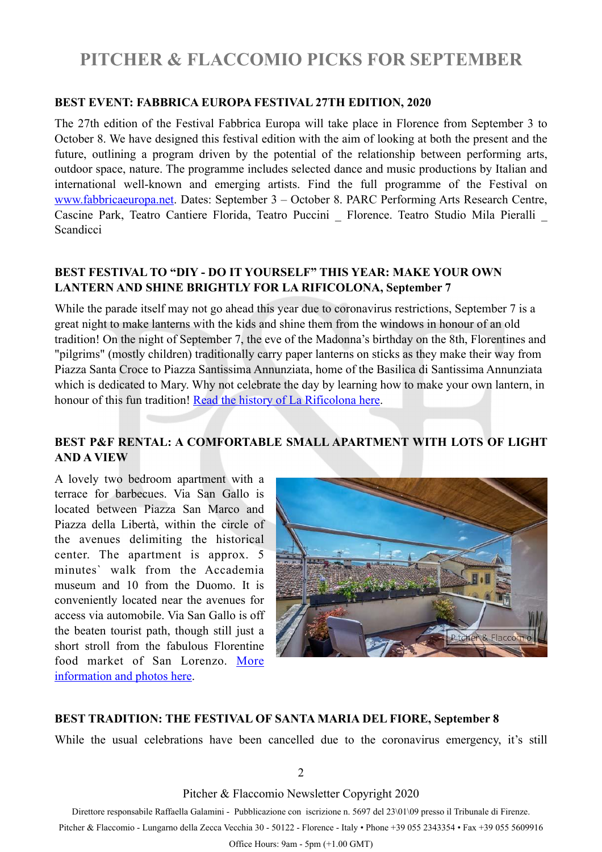## <span id="page-1-0"></span>**PITCHER & FLACCOMIO PICKS FOR SEPTEMBER**

#### **BEST EVENT: FABBRICA EUROPA FESTIVAL 27TH EDITION, 2020**

The 27th edition of the Festival Fabbrica Europa will take place in Florence from September 3 to October 8. We have designed this festival edition with the aim of looking at both the present and the future, outlining a program driven by the potential of the relationship between performing arts, outdoor space, nature. The programme includes selected dance and music productions by Italian and international well-known and emerging artists. Find the full programme of the Festival on [www.fabbricaeuropa.net.](https://fabbricaeuropa.voxmail.it/nl/pv4vqe/j3e0gz/ypjhagm/uf/43/aHR0cDovL2ZhYmJyaWNhZXVyb3BhLm5ldC9lbi9mYWJicmljYS1ldXJvcGEtMjAyMC0yNy1lZGl0aW9uLw?_d=57S&_c=ff2e24c6) Dates: September 3 – October 8. PARC Performing Arts Research Centre, Cascine Park, Teatro Cantiere Florida, Teatro Puccini \_ Florence. Teatro Studio Mila Pieralli \_ **Scandicci** 

#### **BEST FESTIVAL TO "DIY - DO IT YOURSELF" THIS YEAR: MAKE YOUR OWN LANTERN AND SHINE BRIGHTLY FOR LA RIFICOLONA, September 7**

While the parade itself may not go ahead this year due to coronavirus restrictions, September 7 is a great night to make lanterns with the kids and shine them from the windows in honour of an old tradition! On the night of September 7, the eve of the Madonna's birthday on the 8th, Florentines and "pilgrims" (mostly children) traditionally carry paper lanterns on sticks as they make their way from Piazza Santa Croce to Piazza Santissima Annunziata, home of the Basilica di Santissima Annunziata which is dedicated to Mary. Why not celebrate the day by learning how to make your own lantern, in honour of this fun tradition! [Read the history of La Rificolona here.](https://www.visitflorence.com/florence-events/rificolona-festival.html)

#### **BEST P&F RENTAL: A COMFORTABLE SMALL APARTMENT WITH LOTS OF LIGHT AND A VIEW**

A lovely two bedroom apartment with a terrace for barbecues. Via San Gallo is located between Piazza San Marco and Piazza della Libertà, within the circle of the avenues delimiting the historical center. The apartment is approx. 5 minutes` walk from the Accademia museum and 10 from the Duomo. It is conveniently located near the avenues for access via automobile. Via San Gallo is off the beaten tourist path, though still just a short stroll from the fabulous Florentine food market of San Lorenzo. [More](https://pitcherflaccomio.com/property/1486/) [information and photos here.](https://pitcherflaccomio.com/property/1486/)



#### **BEST TRADITION: THE FESTIVAL OF SANTA MARIA DEL FIORE, September 8**

While the usual celebrations have been cancelled due to the coronavirus emergency, it's still

2

Pitcher & Flaccomio Newsletter Copyright 2020

Direttore responsabile Raffaella Galamini - Pubblicazione con iscrizione n. 5697 del 23\01\09 presso il Tribunale di Firenze.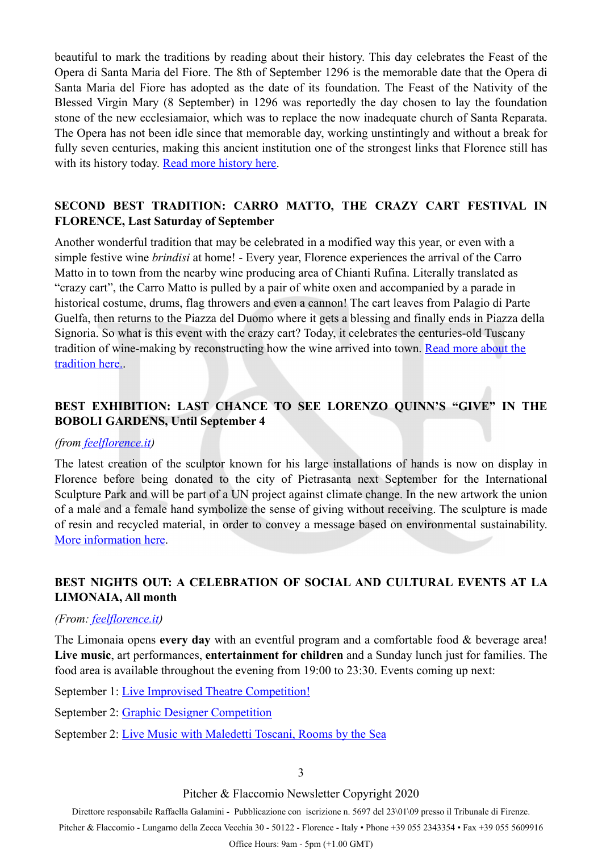beautiful to mark the traditions by reading about their history. This day celebrates the Feast of the Opera di Santa Maria del Fiore. The 8th of September 1296 is the memorable date that the Opera di Santa Maria del Fiore has adopted as the date of its foundation. The Feast of the Nativity of the Blessed Virgin Mary (8 September) in 1296 was reportedly the day chosen to lay the foundation stone of the new ecclesiamaior, which was to replace the now inadequate church of Santa Reparata. The Opera has not been idle since that memorable day, working unstintingly and without a break for fully seven centuries, making this ancient institution one of the strongest links that Florence still has with its history today. [Read more history here](https://duomo.firenze.it/en/about-us/history/art).

#### **SECOND BEST TRADITION: CARRO MATTO, THE CRAZY CART FESTIVAL IN FLORENCE, Last Saturday of September**

Another wonderful tradition that may be celebrated in a modified way this year, or even with a simple festive wine *brindisi* at home! - Every year, Florence experiences the arrival of the Carro Matto in to town from the nearby wine producing area of Chianti Rufina. Literally translated as "crazy cart", the Carro Matto is pulled by a pair of white oxen and accompanied by a parade in historical costume, drums, flag throwers and even a cannon! The cart leaves from Palagio di Parte Guelfa, then returns to the Piazza del Duomo where it gets a blessing and finally ends in Piazza della Signoria. So what is this event with the crazy cart? Today, it celebrates the centuries-old Tuscany tradition of wine-making by reconstructing how the wine arrived into town. [Read more about the](https://www.visitflorence.com/florence-events/carro-matto-grape-harvest.html)  [tradition here.](https://www.visitflorence.com/florence-events/carro-matto-grape-harvest.html).

#### **BEST EXHIBITION: LAST CHANCE TO SEE LORENZO QUINN'S "GIVE" IN THE BOBOLI GARDENS, Until September 4**

#### *(from [feelflorence.it](https://www.feelflorence.it/en/node/33866))*

The latest creation of the sculptor known for his large installations of hands is now on display in Florence before being donated to the city of Pietrasanta next September for the International Sculpture Park and will be part of a UN project against climate change. In the new artwork the union of a male and a female hand symbolize the sense of giving without receiving. The sculpture is made of resin and recycled material, in order to convey a message based on environmental sustainability. [More information here](https://www.uffizi.it/magazine/give-quinn-boboli).

#### **BEST NIGHTS OUT: A CELEBRATION OF SOCIAL AND CULTURAL EVENTS AT LA LIMONAIA, All month**

#### *(From: [feelflorence.it](http://feelflorence.it))*

The Limonaia opens **every day** with an eventful program and a comfortable food & beverage area! **Live music**, art performances, **entertainment for children** and a Sunday lunch just for families. The food area is available throughout the evening from 19:00 to 23:30. Events coming up next:

September 1: [Live Improvised Theatre Competition!](https://www.lalimonaiastrozzi.it/event/match-dimprovvisazione-teatrale-professionisti/) 

- September 2: [Graphic Designer Competition](https://www.lalimonaiastrozzi.it/event/premiazione-creamilalimonaia-graphic-contest-2020/)
- September 2: [Live Music with Maledetti Toscani, Rooms by the Sea](https://www.lalimonaiastrozzi.it/event/rooms-by-the-sea-live/)

#### Pitcher & Flaccomio Newsletter Copyright 2020

Direttore responsabile Raffaella Galamini - Pubblicazione con iscrizione n. 5697 del 23\01\09 presso il Tribunale di Firenze.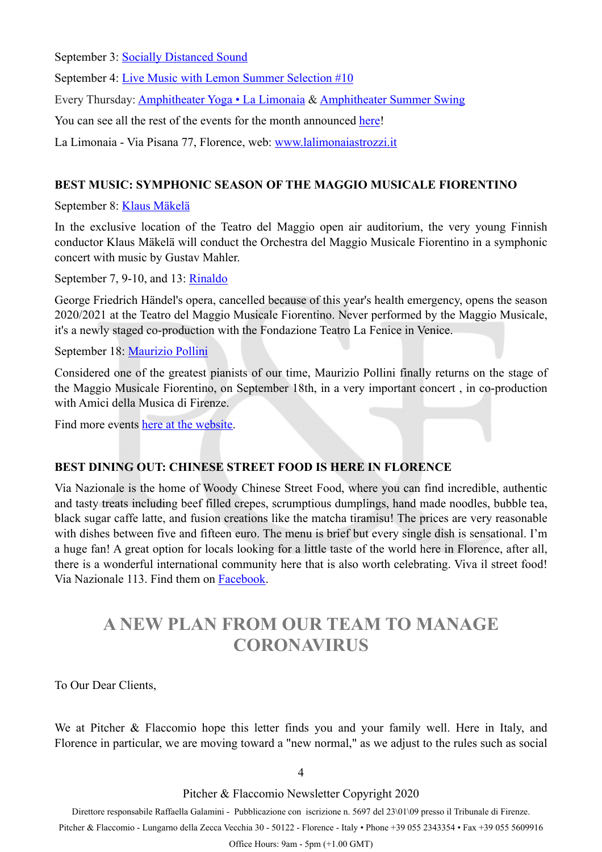September 3: [Socially Distanced Sound](https://www.lalimonaiastrozzi.it/event/socially-distanced-sound/)

September 4: [Live Music with Lemon Summer Selection #10](https://www.lalimonaiastrozzi.it/event/lemon-summer-selection-10/)

Every Thursday: [Amphitheater Yoga • La Limonaia](https://www.facebook.com/events/322588065416721/?acontext=%7B%22source%22%3A3%2C%22source_newsfeed_story_type%22%3A%22regular%22%2C%22action_history%22%3A%22%5B%7B%5C%22surface%5C%22%3A%5C%22newsfeed%5C%22%2C%5C%22mechanism%5C%22%3A%5C%22feed_story%5C%22%2C%5C%22extra_data%5C%22%3A%5B%5D%7D%5D%22%2C%22has_source%22%3Atrue%7D&source=3&source_newsfeed_story_type=regular&action_history=%5B%7B%22surface%22%3A%22newsfeed%22%2C%22mechanism%22%3A%22feed_story%22%2C%22extra_data%22%3A%5B%5D%7D%5D&has_source=1&__tn__=K-R&eid=ARAtW6i-vHmUsz7xVSWASTNVCZCxdmqJ9mOceUtAdMiwCwRHoEGCkRyXHFr7rBOl8dbeD6fpGutXXmzU&fref=mentions&__xts__%5B0%5D=68.ARBgTpSvXNMmEoqDH8r131ei33ohFMvsNy-5_NLDAkqhZFIydmqsn2qQGraw9lLt7DJbfA2BXBn86X91ZqJ_yLI75EIElnC5xe97E44ixBmX5DJEG-DOpqu3P695kXfbMtWzZnRacJovtNdXE578IxeXvKEID-WnFZn94OWTSdxBEj9cIT1tfMsRG6nzNQQ9m4xVNgr05c8O9jViFcDsWqzUGBknJ9OFxiuYFmZN6C8JSeG8KDALQNiZH2kH_DLn1HhJBbCIz_svdW6GpeF0lPwzzqRTFfsO4v6PF_WXxGr0U2goBHj-SyH_zMmfAzQuH_gAP_-vFf0QyvGF23YlCG_eeTr0iyDnSsjYY9gZcEOXOmx0V0iKeWYW3M_uH6C7dHZBeOB2VJrFek58LqD6Ef0JmgISYe6yZUQBBeTtjSiz) & [Amphitheater Summer Swing](https://www.facebook.com/events/1542614812584455/?acontext=%7B%22source%22%3A3%2C%22source_newsfeed_story_type%22%3A%22regular%22%2C%22action_history%22%3A%22%5B%7B%5C%22surface%5C%22%3A%5C%22newsfeed%5C%22%2C%5C%22mechanism%5C%22%3A%5C%22feed_story%5C%22%2C%5C%22extra_data%5C%22%3A%5B%5D%7D%5D%22%2C%22has_source%22%3Atrue%7D&source=3&source_newsfeed_story_type=regular&action_history=%5B%7B%22surface%22%3A%22newsfeed%22%2C%22mechanism%22%3A%22feed_story%22%2C%22extra_data%22%3A%5B%5D%7D%5D&has_source=1&__tn__=K-R&eid=ARBt2muRwQ6qe0VPzjTiyfSorCH9XJa4bOfusEEt6zWVxm9H23Wo_I4RWQ7c4linRqki3nMsVVsrxK93&fref=mentions&__xts__%5B0%5D=68.ARBgTpSvXNMmEoqDH8r131ei33ohFMvsNy-5_NLDAkqhZFIydmqsn2qQGraw9lLt7DJbfA2BXBn86X91ZqJ_yLI75EIElnC5xe97E44ixBmX5DJEG-DOpqu3P695kXfbMtWzZnRacJovtNdXE578IxeXvKEID-WnFZn94OWTSdxBEj9cIT1tfMsRG6nzNQQ9m4xVNgr05c8O9jViFcDsWqzUGBknJ9OFxiuYFmZN6C8JSeG8KDALQNiZH2kH_DLn1HhJBbCIz_svdW6GpeF0lPwzzqRTFfsO4v6PF_WXxGr0U2goBHj-SyH_zMmfAzQuH_gAP_-vFf0QyvGF23YlCG_eeTr0iyDnSsjYY9gZcEOXOmx0V0iKeWYW3M_uH6C7dHZBeOB2VJrFek58LqD6Ef0JmgISYe6yZUQBBeTtjSiz)

You can see all the rest of the events for the month announced [here!](https://www.facebook.com/lalimonaiastrozzi)

La Limonaia - Via Pisana 77, Florence, web: [www.lalimonaiastrozzi.it](http://www.lalimonaiastrozzi.it)

#### **BEST MUSIC: SYMPHONIC SEASON OF THE MAGGIO MUSICALE FIORENTINO**

September 8: [Klaus Mäkelä](https://www.maggiofiorentino.com/events/klaus-makela-2/)

In the exclusive location of the Teatro del Maggio open air auditorium, the very young Finnish conductor Klaus Mäkelä will conduct the Orchestra del Maggio Musicale Fiorentino in a symphonic concert with music by Gustav Mahler.

September 7, 9-10, and 13: [Rinaldo](https://www.maggiofiorentino.com/events/rinaldo-3/)

George Friedrich Händel's opera, cancelled because of this year's health emergency, opens the season 2020/2021 at the Teatro del Maggio Musicale Fiorentino. Never performed by the Maggio Musicale, it's a newly staged co-production with the Fondazione Teatro La Fenice in Venice.

September 18: [Maurizio Pollini](https://www.maggiofiorentino.com/events/maurizio-pollino-2/)

Considered one of the greatest pianists of our time, Maurizio Pollini finally returns on the stage of the Maggio Musicale Fiorentino, on September 18th, in a very important concert , in co-production with Amici della Musica di Firenze.

Find more events [here at the website.](https://www.maggiofiorentino.com/calendario/2020/09/)

#### **BEST DINING OUT: CHINESE STREET FOOD IS HERE IN FLORENCE**

Via Nazionale is the home of Woody Chinese Street Food, where you can find incredible, authentic and tasty treats including beef filled crepes, scrumptious dumplings, hand made noodles, bubble tea, black sugar caffe latte, and fusion creations like the matcha tiramisu! The prices are very reasonable with dishes between five and fifteen euro. The menu is brief but every single dish is sensational. I'm a huge fan! A great option for locals looking for a little taste of the world here in Florence, after all, there is a wonderful international community here that is also worth celebrating. Viva il street food! Via Nazionale 113. Find them on [Facebook](https://www.facebook.com/Woody_firenze-105533627876788/?ref=page_internal).

## <span id="page-3-0"></span>**A NEW PLAN FROM OUR TEAM TO MANAGE CORONAVIRUS**

To Our Dear Clients,

We at Pitcher & Flaccomio hope this letter finds you and your family well. Here in Italy, and Florence in particular, we are moving toward a "new normal," as we adjust to the rules such as social

4

Pitcher & Flaccomio Newsletter Copyright 2020

Direttore responsabile Raffaella Galamini - Pubblicazione con iscrizione n. 5697 del 23\01\09 presso il Tribunale di Firenze.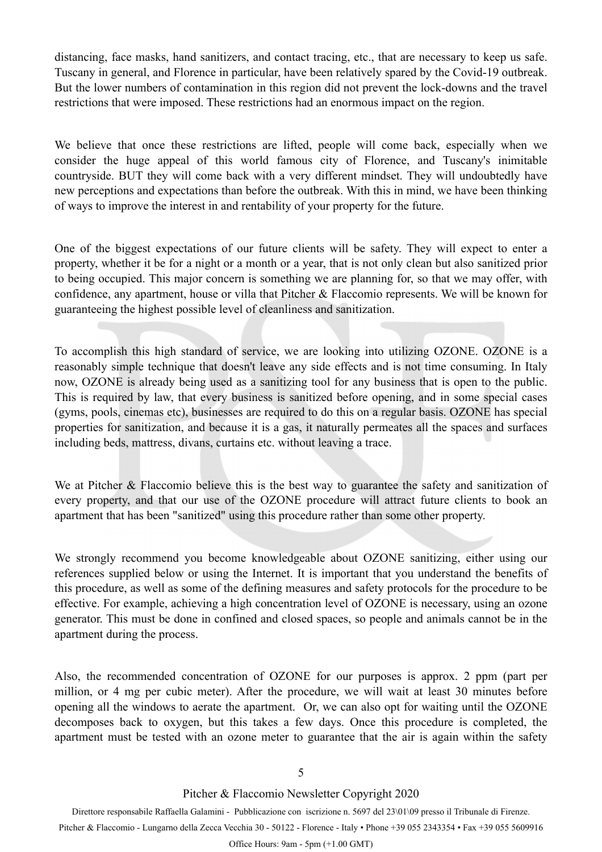distancing, face masks, hand sanitizers, and contact tracing, etc., that are necessary to keep us safe. Tuscany in general, and Florence in particular, have been relatively spared by the Covid-19 outbreak. But the lower numbers of contamination in this region did not prevent the lock-downs and the travel restrictions that were imposed. These restrictions had an enormous impact on the region.

We believe that once these restrictions are lifted, people will come back, especially when we consider the huge appeal of this world famous city of Florence, and Tuscany's inimitable countryside. BUT they will come back with a very different mindset. They will undoubtedly have new perceptions and expectations than before the outbreak. With this in mind, we have been thinking of ways to improve the interest in and rentability of your property for the future.

One of the biggest expectations of our future clients will be safety. They will expect to enter a property, whether it be for a night or a month or a year, that is not only clean but also sanitized prior to being occupied. This major concern is something we are planning for, so that we may offer, with confidence, any apartment, house or villa that Pitcher & Flaccomio represents. We will be known for guaranteeing the highest possible level of cleanliness and sanitization.

To accomplish this high standard of service, we are looking into utilizing OZONE. OZONE is a reasonably simple technique that doesn't leave any side effects and is not time consuming. In Italy now, OZONE is already being used as a sanitizing tool for any business that is open to the public. This is required by law, that every business is sanitized before opening, and in some special cases (gyms, pools, cinemas etc), businesses are required to do this on a regular basis. OZONE has special properties for sanitization, and because it is a gas, it naturally permeates all the spaces and surfaces including beds, mattress, divans, curtains etc. without leaving a trace.

We at Pitcher & Flaccomio believe this is the best way to guarantee the safety and sanitization of every property, and that our use of the OZONE procedure will attract future clients to book an apartment that has been "sanitized" using this procedure rather than some other property.

We strongly recommend you become knowledgeable about OZONE sanitizing, either using our references supplied below or using the Internet. It is important that you understand the benefits of this procedure, as well as some of the defining measures and safety protocols for the procedure to be effective. For example, achieving a high concentration level of OZONE is necessary, using an ozone generator. This must be done in confined and closed spaces, so people and animals cannot be in the apartment during the process.

Also, the recommended concentration of OZONE for our purposes is approx. 2 ppm (part per million, or 4 mg per cubic meter). After the procedure, we will wait at least 30 minutes before opening all the windows to aerate the apartment. Or, we can also opt for waiting until the OZONE decomposes back to oxygen, but this takes a few days. Once this procedure is completed, the apartment must be tested with an ozone meter to guarantee that the air is again within the safety

5

Pitcher & Flaccomio Newsletter Copyright 2020

Direttore responsabile Raffaella Galamini - Pubblicazione con iscrizione n. 5697 del 23\01\09 presso il Tribunale di Firenze.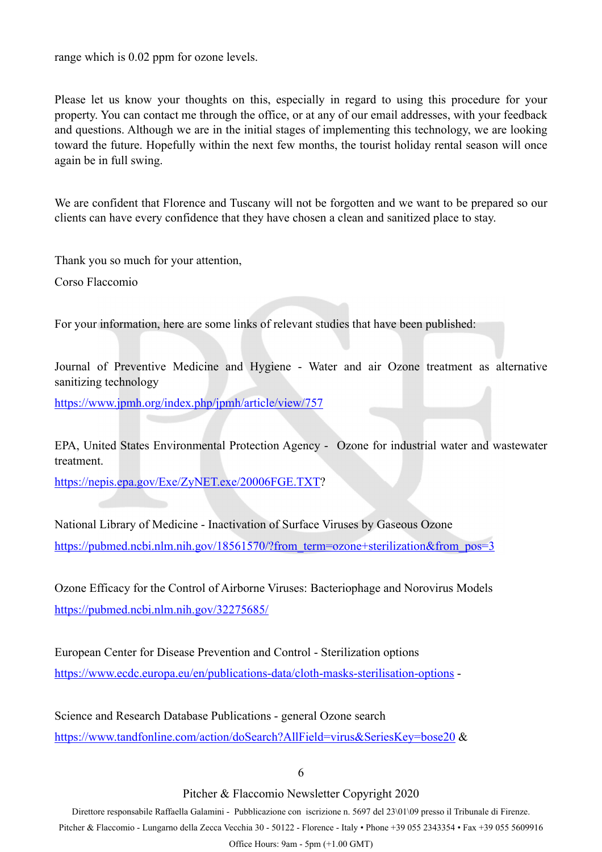range which is 0.02 ppm for ozone levels.

Please let us know your thoughts on this, especially in regard to using this procedure for your property. You can contact me through the office, or at any of our email addresses, with your feedback and questions. Although we are in the initial stages of implementing this technology, we are looking toward the future. Hopefully within the next few months, the tourist holiday rental season will once again be in full swing.

We are confident that Florence and Tuscany will not be forgotten and we want to be prepared so our clients can have every confidence that they have chosen a clean and sanitized place to stay.

Thank you so much for your attention,

Corso Flaccomio

For your information, here are some links of relevant studies that have been published:

Journal of Preventive Medicine and Hygiene - Water and air Ozone treatment as alternative sanitizing technology

<https://www.jpmh.org/index.php/jpmh/article/view/757>

EPA, United States Environmental Protection Agency - Ozone for industrial water and wastewater treatment.

<https://nepis.epa.gov/Exe/ZyNET.exe/20006FGE.TXT>?

National Library of Medicine - Inactivation of Surface Viruses by Gaseous Ozone https://pubmed.ncbi.nlm.nih.gov/18561570/?from\_term=ozone+sterilization&from\_pos=3

Ozone Efficacy for the Control of Airborne Viruses: Bacteriophage and Norovirus Models <https://pubmed.ncbi.nlm.nih.gov/32275685/>

European Center for Disease Prevention and Control - Sterilization options <https://www.ecdc.europa.eu/en/publications-data/cloth-masks-sterilisation-options>-

Science and Research Database Publications - general Ozone search <https://www.tandfonline.com/action/doSearch?AllField=virus&SeriesKey=bose20> &

6

Pitcher & Flaccomio Newsletter Copyright 2020

Direttore responsabile Raffaella Galamini - Pubblicazione con iscrizione n. 5697 del 23\01\09 presso il Tribunale di Firenze.

Pitcher & Flaccomio - Lungarno della Zecca Vecchia 30 - 50122 - Florence - Italy • Phone +39 055 2343354 • Fax +39 055 5609916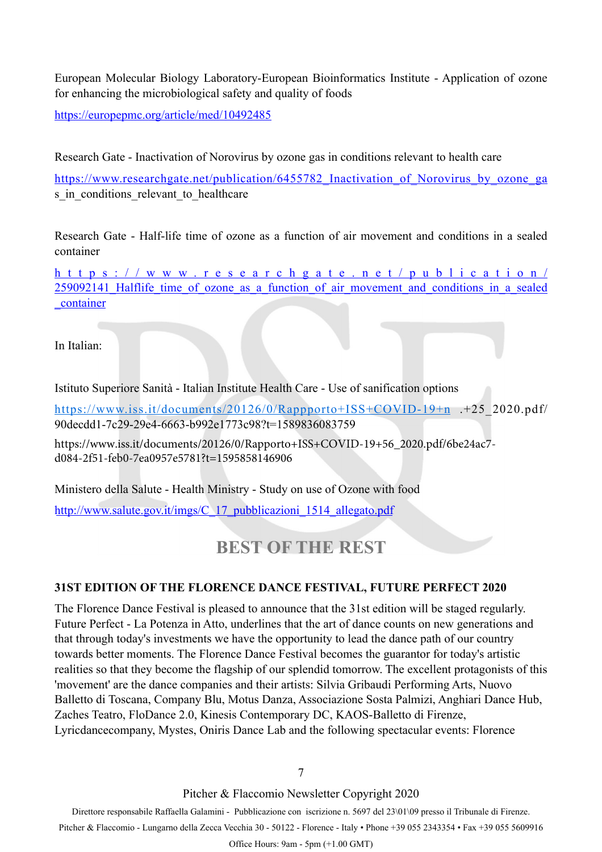European Molecular Biology Laboratory-European Bioinformatics Institute - Application of ozone for enhancing the microbiological safety and quality of foods

<https://europepmc.org/article/med/10492485>

Research Gate - Inactivation of Norovirus by ozone gas in conditions relevant to health care

https://www.researchgate.net/publication/6455782 Inactivation of Norovirus by ozone ga s in conditions relevant to healthcare

Research Gate - Half-life time of ozone as a function of air movement and conditions in a sealed container

[https://www.researchgate.net/publication/](https://www.researchgate.net/publication/259092141_Halflife_time_of_ozone_as_a_function_of_air_movement_and_conditions_in_a_sealed_container) 259092141 Halflife time of ozone as a function of air movement and conditions in a sealed [\\_container](https://www.researchgate.net/publication/259092141_Halflife_time_of_ozone_as_a_function_of_air_movement_and_conditions_in_a_sealed_container) 

In Italian:

Istituto Superiore Sanità - Italian Institute Health Care - Use of sanification options

https://www.iss.it/documents/20126/0/Rappporto+ISS+COVID-19+n .+25 2020.pdf/ 90decdd1-7c29-29e4-6663-b992e1773c98?t=1589836083759

[https://www.iss.it/documents/20126/0/Rapporto+ISS+COVID-19+56\\_2020.pdf/6be24ac7](https://www.iss.it/documents/20126/0/Rapporto+ISS+COVID-19+56_2020.pdf/6be24ac7-d084-2f51-feb0-7ea0957e5781?t=1595858146906) d084-2f51-feb0-7ea0957e5781?t=1595858146906

[Ministero della Salute - Health Ministry - Study on use of Ozone with](http://www.salute.gov.it/imgs/C_17_pubblicazioni_1514_allegato.pdf) food

http://www.salute.gov.it/imgs/C\_17\_pubblicazioni\_1514\_allegato.pdf

### <span id="page-6-0"></span>**BEST OF THE REST**

#### **31ST EDITION OF THE FLORENCE DANCE FESTIVAL, FUTURE PERFECT 2020**

The Florence Dance Festival is pleased to announce that the 31st edition will be staged regularly. Future Perfect - La Potenza in Atto, underlines that the art of dance counts on new generations and that through today's investments we have the opportunity to lead the dance path of our country towards better moments. The Florence Dance Festival becomes the guarantor for today's artistic realities so that they become the flagship of our splendid tomorrow. The excellent protagonists of this 'movement' are the dance companies and their artists: Silvia Gribaudi Performing Arts, Nuovo Balletto di Toscana, Company Blu, Motus Danza, Associazione Sosta Palmizi, Anghiari Dance Hub, Zaches Teatro, FloDance 2.0, Kinesis Contemporary DC, KAOS-Balletto di Firenze, Lyricdancecompany, Mystes, Oniris Dance Lab and the following spectacular events: Florence

7

Pitcher & Flaccomio Newsletter Copyright 2020

Direttore responsabile Raffaella Galamini - Pubblicazione con iscrizione n. 5697 del 23\01\09 presso il Tribunale di Firenze.

Pitcher & Flaccomio - Lungarno della Zecca Vecchia 30 - 50122 - Florence - Italy • Phone +39 055 2343354 • Fax +39 055 5609916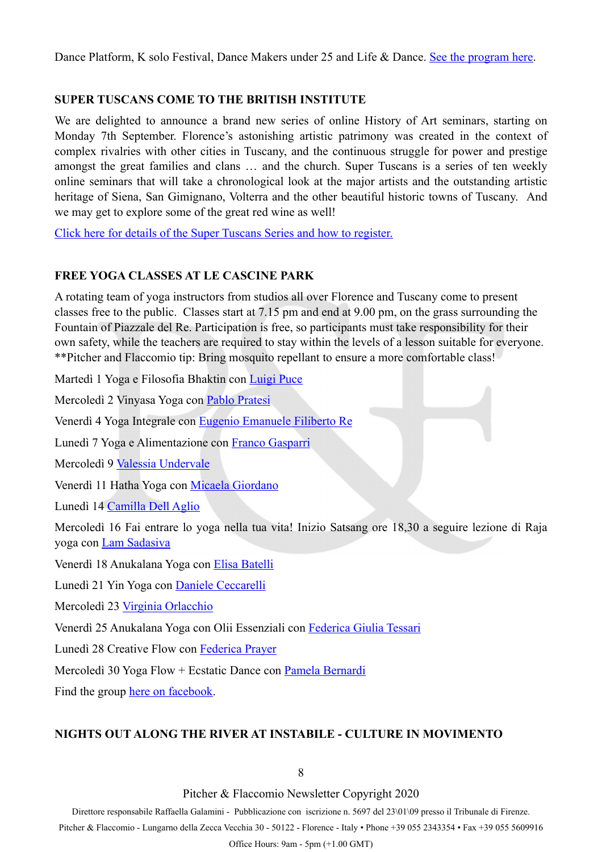Dance Platform, K solo Festival, Dance Makers under 25 and Life & Dance. [See the program here.](https://www.florencedancefestival.org)

#### **SUPER TUSCANS COME TO THE BRITISH INSTITUTE**

We are delighted to announce a brand new series of online History of Art seminars, starting on Monday 7th September. Florence's astonishing artistic patrimony was created in the context of complex rivalries with other cities in Tuscany, and the continuous struggle for power and prestige amongst the great families and clans … and the church. Super Tuscans is a series of ten weekly online seminars that will take a chronological look at the major artists and the outstanding artistic heritage of Siena, San Gimignano, Volterra and the other beautiful historic towns of Tuscany. And we may get to explore some of the great red wine as well!

[Click here for details of the Super Tuscans Series and how to register.](http://customer42034.musvc3.net/e/t?q=A%3dMSDaM%26C%3d5d%267%3dR0bJ%26F%3d6YRTDb%26D%3d9xR9J_vylq_79_ArWx_K7_vylq_6DFN1.0A0xGB9mLBKmRDKi.GC_IU1i_SjC7_IU1i_SjF2JxMAP-ePC-0x959t2e0eL_ArWx_K7lGBKsPH-Fj-9AK_vylq_6D8EpG76-wC60r9AJ%26h%3dKDJzAL.EiR%262J%3dAeMS)

#### **FREE YOGA CLASSES AT LE CASCINE PARK**

A rotating team of yoga instructors from studios all over Florence and Tuscany come to present classes free to the public. Classes start at 7.15 pm and end at 9.00 pm, on the grass surrounding the Fountain of Piazzale del Re. Participation is free, so participants must take responsibility for their own safety, while the teachers are required to stay within the levels of a lesson suitable for everyone. \*\*Pitcher and Flaccomio tip: Bring mosquito repellant to ensure a more comfortable class!

Martedì 1 Yoga e Filosofia Bhaktin con [Luigi Puce](https://www.facebook.com/lila.avatara.9?__cft__%5B0%5D=AZVus2aUP0KeIeFZDWAc6pEQbycNb5I7L-UvLSwXfKLBM0-6jUW8Oe8ZACsYMWyIGHept-TUaBgkE2bk_pKNhtiG-L4fCh6GsuKO7qtMsNS1We6uyNDs5TXHQU8Qvtmw9G0Fr7ys6LiPv87gSfrJqVR32cywbQLholvaQz4Sif2gR1vK23TQL7ZB2KQ6qAxN6AY&__tn__=-%5DK-R)

Mercoledì 2 Vinyasa Yoga con [Pablo Pratesi](https://www.facebook.com/profile.php?id=100013668045109&__cft__%5B0%5D=AZVus2aUP0KeIeFZDWAc6pEQbycNb5I7L-UvLSwXfKLBM0-6jUW8Oe8ZACsYMWyIGHept-TUaBgkE2bk_pKNhtiG-L4fCh6GsuKO7qtMsNS1We6uyNDs5TXHQU8Qvtmw9G0Fr7ys6LiPv87gSfrJqVR32cywbQLholvaQz4Sif2gR1vK23TQL7ZB2KQ6qAxN6AY&__tn__=-%5DK-R)

Venerdì 4 Yoga Integrale con [Eugenio Emanuele Filiberto Re](https://www.facebook.com/eefre.et?__cft__%5B0%5D=AZVus2aUP0KeIeFZDWAc6pEQbycNb5I7L-UvLSwXfKLBM0-6jUW8Oe8ZACsYMWyIGHept-TUaBgkE2bk_pKNhtiG-L4fCh6GsuKO7qtMsNS1We6uyNDs5TXHQU8Qvtmw9G0Fr7ys6LiPv87gSfrJqVR32cywbQLholvaQz4Sif2gR1vK23TQL7ZB2KQ6qAxN6AY&__tn__=-%5DK-R)

Lunedì 7 Yoga e Alimentazione con [Franco Gasparri](https://www.facebook.com/franco.gasparri.75?__cft__%5B0%5D=AZVus2aUP0KeIeFZDWAc6pEQbycNb5I7L-UvLSwXfKLBM0-6jUW8Oe8ZACsYMWyIGHept-TUaBgkE2bk_pKNhtiG-L4fCh6GsuKO7qtMsNS1We6uyNDs5TXHQU8Qvtmw9G0Fr7ys6LiPv87gSfrJqVR32cywbQLholvaQz4Sif2gR1vK23TQL7ZB2KQ6qAxN6AY&__tn__=-%5DK-R)

Mercoledì 9 [Valessia Undervale](https://www.facebook.com/undervale?__cft__%5B0%5D=AZVus2aUP0KeIeFZDWAc6pEQbycNb5I7L-UvLSwXfKLBM0-6jUW8Oe8ZACsYMWyIGHept-TUaBgkE2bk_pKNhtiG-L4fCh6GsuKO7qtMsNS1We6uyNDs5TXHQU8Qvtmw9G0Fr7ys6LiPv87gSfrJqVR32cywbQLholvaQz4Sif2gR1vK23TQL7ZB2KQ6qAxN6AY&__tn__=-%5DK-R)

Venerdì 11 Hatha Yoga con [Micaela Giordano](https://www.facebook.com/micaela.giordano.7509?__cft__%5B0%5D=AZVus2aUP0KeIeFZDWAc6pEQbycNb5I7L-UvLSwXfKLBM0-6jUW8Oe8ZACsYMWyIGHept-TUaBgkE2bk_pKNhtiG-L4fCh6GsuKO7qtMsNS1We6uyNDs5TXHQU8Qvtmw9G0Fr7ys6LiPv87gSfrJqVR32cywbQLholvaQz4Sif2gR1vK23TQL7ZB2KQ6qAxN6AY&__tn__=-%5DK-R)

Lunedì 14 [Camilla Dell Aglio](https://www.facebook.com/profile.php?id=1372710540&__cft__%5B0%5D=AZVus2aUP0KeIeFZDWAc6pEQbycNb5I7L-UvLSwXfKLBM0-6jUW8Oe8ZACsYMWyIGHept-TUaBgkE2bk_pKNhtiG-L4fCh6GsuKO7qtMsNS1We6uyNDs5TXHQU8Qvtmw9G0Fr7ys6LiPv87gSfrJqVR32cywbQLholvaQz4Sif2gR1vK23TQL7ZB2KQ6qAxN6AY&__tn__=-%5DK-R)

Mercoledì 16 Fai entrare lo yoga nella tua vita! Inizio Satsang ore 18,30 a seguire lezione di Raja yoga con [Lam Sadasiva](https://www.facebook.com/profile.php?id=528503986&__cft__%5B0%5D=AZVus2aUP0KeIeFZDWAc6pEQbycNb5I7L-UvLSwXfKLBM0-6jUW8Oe8ZACsYMWyIGHept-TUaBgkE2bk_pKNhtiG-L4fCh6GsuKO7qtMsNS1We6uyNDs5TXHQU8Qvtmw9G0Fr7ys6LiPv87gSfrJqVR32cywbQLholvaQz4Sif2gR1vK23TQL7ZB2KQ6qAxN6AY&__tn__=-%5DK-R)

Venerdì 18 Anukalana Yoga con [Elisa Batelli](https://www.facebook.com/elisa.batelli.56?__cft__%5B0%5D=AZVus2aUP0KeIeFZDWAc6pEQbycNb5I7L-UvLSwXfKLBM0-6jUW8Oe8ZACsYMWyIGHept-TUaBgkE2bk_pKNhtiG-L4fCh6GsuKO7qtMsNS1We6uyNDs5TXHQU8Qvtmw9G0Fr7ys6LiPv87gSfrJqVR32cywbQLholvaQz4Sif2gR1vK23TQL7ZB2KQ6qAxN6AY&__tn__=-%5DK-R)

Lunedì 21 Yin Yoga con [Daniele Ceccarelli](https://www.facebook.com/daniele.ceccarelli.50?__cft__%5B0%5D=AZVus2aUP0KeIeFZDWAc6pEQbycNb5I7L-UvLSwXfKLBM0-6jUW8Oe8ZACsYMWyIGHept-TUaBgkE2bk_pKNhtiG-L4fCh6GsuKO7qtMsNS1We6uyNDs5TXHQU8Qvtmw9G0Fr7ys6LiPv87gSfrJqVR32cywbQLholvaQz4Sif2gR1vK23TQL7ZB2KQ6qAxN6AY&__tn__=-%5DK-R)

Mercoledì 23 [Virginia Orlacchio](https://www.facebook.com/virginia.orlacchio?__cft__%5B0%5D=AZVus2aUP0KeIeFZDWAc6pEQbycNb5I7L-UvLSwXfKLBM0-6jUW8Oe8ZACsYMWyIGHept-TUaBgkE2bk_pKNhtiG-L4fCh6GsuKO7qtMsNS1We6uyNDs5TXHQU8Qvtmw9G0Fr7ys6LiPv87gSfrJqVR32cywbQLholvaQz4Sif2gR1vK23TQL7ZB2KQ6qAxN6AY&__tn__=-%5DK-R)

Venerdì 25 Anukalana Yoga con Olii Essenziali con [Federica Giulia Tessari](https://www.facebook.com/federica.tessari.54?__cft__%5B0%5D=AZVus2aUP0KeIeFZDWAc6pEQbycNb5I7L-UvLSwXfKLBM0-6jUW8Oe8ZACsYMWyIGHept-TUaBgkE2bk_pKNhtiG-L4fCh6GsuKO7qtMsNS1We6uyNDs5TXHQU8Qvtmw9G0Fr7ys6LiPv87gSfrJqVR32cywbQLholvaQz4Sif2gR1vK23TQL7ZB2KQ6qAxN6AY&__tn__=-%5DK-R)

Lunedì 28 Creative Flow con [Federica Prayer](https://www.facebook.com/federica.prayer.7?__cft__%5B0%5D=AZVus2aUP0KeIeFZDWAc6pEQbycNb5I7L-UvLSwXfKLBM0-6jUW8Oe8ZACsYMWyIGHept-TUaBgkE2bk_pKNhtiG-L4fCh6GsuKO7qtMsNS1We6uyNDs5TXHQU8Qvtmw9G0Fr7ys6LiPv87gSfrJqVR32cywbQLholvaQz4Sif2gR1vK23TQL7ZB2KQ6qAxN6AY&__tn__=-%5DK-R)

Mercoledì 30 Yoga Flow + Ecstatic Dance con [Pamela Bernardi](https://www.facebook.com/pa.pamela77?__cft__%5B0%5D=AZVus2aUP0KeIeFZDWAc6pEQbycNb5I7L-UvLSwXfKLBM0-6jUW8Oe8ZACsYMWyIGHept-TUaBgkE2bk_pKNhtiG-L4fCh6GsuKO7qtMsNS1We6uyNDs5TXHQU8Qvtmw9G0Fr7ys6LiPv87gSfrJqVR32cywbQLholvaQz4Sif2gR1vK23TQL7ZB2KQ6qAxN6AY&__tn__=-%5DK-R)

Find the group [here on facebook](https://www.facebook.com/groups/110365472454277/).

#### **NIGHTS OUT ALONG THE RIVER AT INSTABILE - CULTURE IN MOVIMENTO**

8

Pitcher & Flaccomio Newsletter Copyright 2020

Direttore responsabile Raffaella Galamini - Pubblicazione con iscrizione n. 5697 del 23\01\09 presso il Tribunale di Firenze.

Pitcher & Flaccomio - Lungarno della Zecca Vecchia 30 - 50122 - Florence - Italy • Phone +39 055 2343354 • Fax +39 055 5609916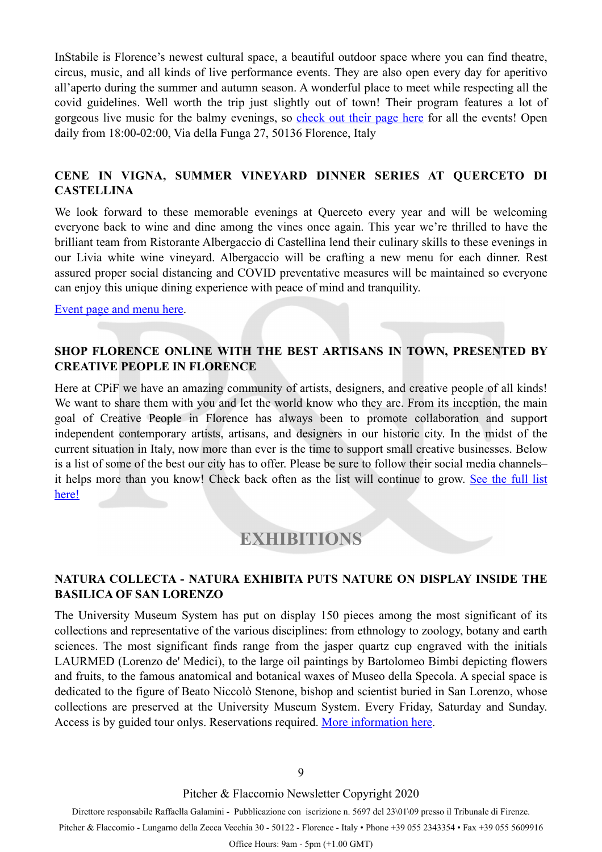InStabile is Florence's newest cultural space, a beautiful outdoor space where you can find theatre, circus, music, and all kinds of live performance events. They are also open every day for aperitivo all'aperto during the summer and autumn season. A wonderful place to meet while respecting all the covid guidelines. Well worth the trip just slightly out of town! Their program features a lot of gorgeous live music for the balmy evenings, so [check out their page here](https://www.facebook.com/InStabileFirenze/) for all the events! Open daily from 18:00-02:00, Via della Funga 27, 50136 Florence, Italy

#### **CENE IN VIGNA, SUMMER VINEYARD DINNER SERIES AT QUERCETO DI CASTELLINA**

We look forward to these memorable evenings at Querceto every year and will be welcoming everyone back to wine and dine among the vines once again. This year we're thrilled to have the brilliant team from Ristorante Albergaccio di Castellina lend their culinary skills to these evenings in our Livia white wine vineyard. Albergaccio will be crafting a new menu for each dinner. Rest assured proper social distancing and COVID preventative measures will be maintained so everyone can enjoy this unique dining experience with peace of mind and tranquility.

[Event page and menu here](https://www.facebook.com/events/756677171736620/).

#### **SHOP FLORENCE ONLINE WITH THE BEST ARTISANS IN TOWN, PRESENTED BY CREATIVE PEOPLE IN FLORENCE**

Here at CPiF we have an amazing community of artists, designers, and creative people of all kinds! We want to share them with you and let the world know who they are. From its inception, the main goal of Creative People in Florence has always been to promote collaboration and support independent contemporary artists, artisans, and designers in our historic city. In the midst of the current situation in Italy, now more than ever is the time to support small creative businesses. Below is a list of some of the best our city has to offer. Please be sure to follow their social media channels– it helps more than you know! Check back often as the list will continue to grow. [See the full list](https://creativepeopleinflorence.com/2020/03/10/shop-florence-online/)  [here!](https://creativepeopleinflorence.com/2020/03/10/shop-florence-online/) 

### <span id="page-8-0"></span>**EXHIBITIONS**

#### **NATURA COLLECTA - NATURA EXHIBITA PUTS NATURE ON DISPLAY INSIDE THE BASILICA OF SAN LORENZO**

The University Museum System has put on display 150 pieces among the most significant of its collections and representative of the various disciplines: from ethnology to zoology, botany and earth sciences. The most significant finds range from the jasper quartz cup engraved with the initials LAURMED (Lorenzo de' Medici), to the large oil paintings by Bartolomeo Bimbi depicting flowers and fruits, to the famous anatomical and botanical waxes of Museo della Specola. A special space is dedicated to the figure of Beato Niccolò Stenone, bishop and scientist buried in San Lorenzo, whose collections are preserved at the University Museum System. Every Friday, Saturday and Sunday. Access is by guided tour onlys. Reservations required. [More information here](https://www.naturacollecta.unifi.it/art-46-natura-collecta-is-now-open.html).

Pitcher & Flaccomio Newsletter Copyright 2020

Direttore responsabile Raffaella Galamini - Pubblicazione con iscrizione n. 5697 del 23\01\09 presso il Tribunale di Firenze. Pitcher & Flaccomio - Lungarno della Zecca Vecchia 30 - 50122 - Florence - Italy • Phone +39 055 2343354 • Fax +39 055 5609916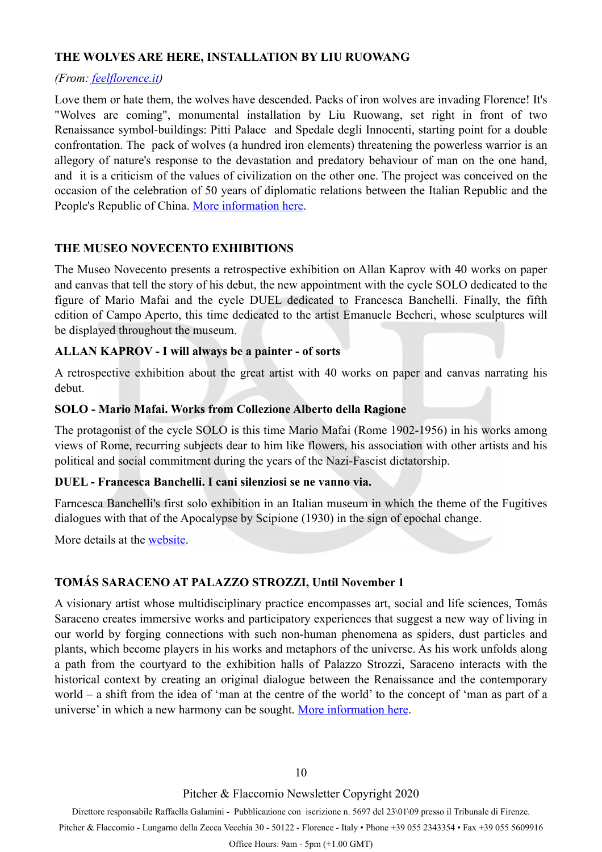#### **THE WOLVES ARE HERE, INSTALLATION BY LIU RUOWANG**

#### *(From: [feelflorence.it](http://feelflorence.it))*

Love them or hate them, the wolves have descended. Packs of iron wolves are invading Florence! It's "Wolves are coming", monumental installation by Liu Ruowang, set right in front of two Renaissance symbol-buildings: Pitti Palace and Spedale degli Innocenti, starting point for a double confrontation. The pack of wolves (a hundred iron elements) threatening the powerless warrior is an allegory of nature's response to the devastation and predatory behaviour of man on the one hand, and it is a criticism of the values of civilization on the other one. The project was conceived on the occasion of the celebration of 50 years of diplomatic relations between the Italian Republic and the People's Republic of China. [More information here.](https://www.uffizi.it/en/events/wolves-by-the-chinese-artist-liu-ruowang-in-florence)

#### **THE MUSEO NOVECENTO EXHIBITIONS**

The Museo Novecento presents a retrospective exhibition on Allan Kaprov with 40 works on paper and canvas that tell the story of his debut, the new appointment with the cycle SOLO dedicated to the figure of Mario Mafai and the cycle DUEL dedicated to Francesca Banchelli. Finally, the fifth edition of Campo Aperto, this time dedicated to the artist Emanuele Becheri, whose sculptures will be displayed throughout the museum.

#### **ALLAN KAPROV - I will always be a painter - of sorts**

A retrospective exhibition about the great artist with 40 works on paper and canvas narrating his debut.

#### **SOLO - Mario Mafai. Works from Collezione Alberto della Ragione**

The protagonist of the cycle SOLO is this time Mario Mafai (Rome 1902-1956) in his works among views of Rome, recurring subjects dear to him like flowers, his association with other artists and his political and social commitment during the years of the Nazi-Fascist dictatorship.

#### **DUEL - Francesca Banchelli. I cani silenziosi se ne vanno via.**

Farncesca Banchelli's first solo exhibition in an Italian museum in which the theme of the Fugitives dialogues with that of the Apocalypse by Scipione (1930) in the sign of epochal change.

More details at the [website](http://www.museonovecento.it/).

#### **TOMÁS SARACENO AT PALAZZO STROZZI, Until November 1**

A visionary artist whose multidisciplinary practice encompasses art, social and life sciences, Tomás Saraceno creates immersive works and participatory experiences that suggest a new way of living in our world by forging connections with such non-human phenomena as spiders, dust particles and plants, which become players in his works and metaphors of the universe. As his work unfolds along a path from the courtyard to the exhibition halls of Palazzo Strozzi, Saraceno interacts with the historical context by creating an original dialogue between the Renaissance and the contemporary world – a shift from the idea of 'man at the centre of the world' to the concept of 'man as part of a universe' in which a new harmony can be sought. [More information here.](https://www.palazzostrozzi.org/en/archivio/exhibitions/tomas-saraceno/)

Pitcher & Flaccomio Newsletter Copyright 2020

Direttore responsabile Raffaella Galamini - Pubblicazione con iscrizione n. 5697 del 23\01\09 presso il Tribunale di Firenze. Pitcher & Flaccomio - Lungarno della Zecca Vecchia 30 - 50122 - Florence - Italy • Phone +39 055 2343354 • Fax +39 055 5609916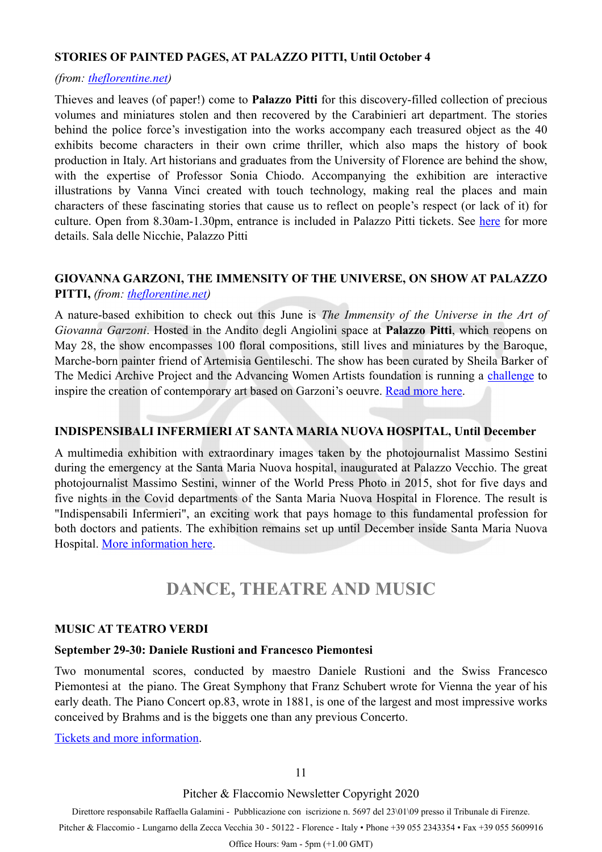#### **STORIES OF PAINTED PAGES, AT PALAZZO PITTI, Until October 4**

#### *(from: [theflorentine.net\)](https://www.theflorentine.net/2020/06/29/best-events-florence-summer-2020/)*

Thieves and leaves (of paper!) come to **Palazzo Pitti** for this discovery-filled collection of precious volumes and miniatures stolen and then recovered by the Carabinieri art department. The stories behind the police force's investigation into the works accompany each treasured object as the 40 exhibits become characters in their own crime thriller, which also maps the history of book production in Italy. Art historians and graduates from the University of Florence are behind the show, with the expertise of Professor Sonia Chiodo. Accompanying the exhibition are interactive illustrations by Vanna Vinci created with touch technology, making real the places and main characters of these fascinating stories that cause us to reflect on people's respect (or lack of it) for culture. Open from 8.30am-1.30pm, entrance is included in Palazzo Pitti tickets. See [here](https://www.theflorentine.net/2020/06/24/live-from-florence-hershey-felder/) for more details. Sala delle Nicchie, Palazzo Pitti

#### **GIOVANNA GARZONI, THE IMMENSITY OF THE UNIVERSE, ON SHOW AT PALAZZO PITTI,** *(from: [theflorentine.net](https://www.theflorentine.net/2020/05/28/giovanna-garzoni-palazzo-pitti/?fbclid=IwAR3DPMcDYCMPiSu24cARlIqDmPObe-MjRR1t8osRGbSawQb_Q9TTOZAu1oM))*

A nature-based exhibition to check out this June is *The Immensity of the Universe in the Art of Giovanna Garzoni*. Hosted in the Andito degli Angiolini space at **Palazzo Pitti**, which reopens on May 28, the show encompasses 100 floral compositions, still lives and miniatures by the Baroque, Marche-born painter friend of Artemisia Gentileschi. The show has been curated by Sheila Barker of The Medici Archive Project and the Advancing Women Artists foundation is running a [challenge](https://www.theflorentine.net/2020/03/07/garzoni-challenge-awa/) to inspire the creation of contemporary art based on Garzoni's oeuvre. [Read more here.](https://www.theflorentine.net/2020/05/28/giovanna-garzoni-palazzo-pitti/?fbclid=IwAR3DPMcDYCMPiSu24cARlIqDmPObe-MjRR1t8osRGbSawQb_Q9TTOZAu1oM)

#### **INDISPENSIBALI INFERMIERI AT SANTA MARIA NUOVA HOSPITAL, Until December**

A multimedia exhibition with extraordinary images taken by the photojournalist Massimo Sestini during the emergency at the Santa Maria Nuova hospital, inaugurated at Palazzo Vecchio. The great photojournalist Massimo Sestini, winner of the World Press Photo in 2015, shot for five days and five nights in the Covid departments of the Santa Maria Nuova Hospital in Florence. The result is "Indispensabili Infermieri", an exciting work that pays homage to this fundamental profession for both doctors and patients. The exhibition remains set up until December inside Santa Maria Nuova Hospital. [More information here.](https://cultura.comune.fi.it/dalle-redazioni/indispensabili-infermieri)

### <span id="page-10-0"></span>**DANCE, THEATRE AND MUSIC**

#### **MUSIC AT TEATRO VERDI**

#### **September 29-30: Daniele Rustioni and Francesco Piemontesi**

Two monumental scores, conducted by maestro Daniele Rustioni and the Swiss Francesco Piemontesi at the piano. The Great Symphony that Franz Schubert wrote for Vienna the year of his early death. The Piano Concert op.83, wrote in 1881, is one of the largest and most impressive works conceived by Brahms and is the biggets one than any previous Concerto.

[Tickets and more information.](https://www.teatroverdifirenze.it/en/genere/ort-daniele-rustioni-direttore-3/)

Pitcher & Flaccomio Newsletter Copyright 2020

Direttore responsabile Raffaella Galamini - Pubblicazione con iscrizione n. 5697 del 23\01\09 presso il Tribunale di Firenze.

Pitcher & Flaccomio - Lungarno della Zecca Vecchia 30 - 50122 - Florence - Italy • Phone +39 055 2343354 • Fax +39 055 5609916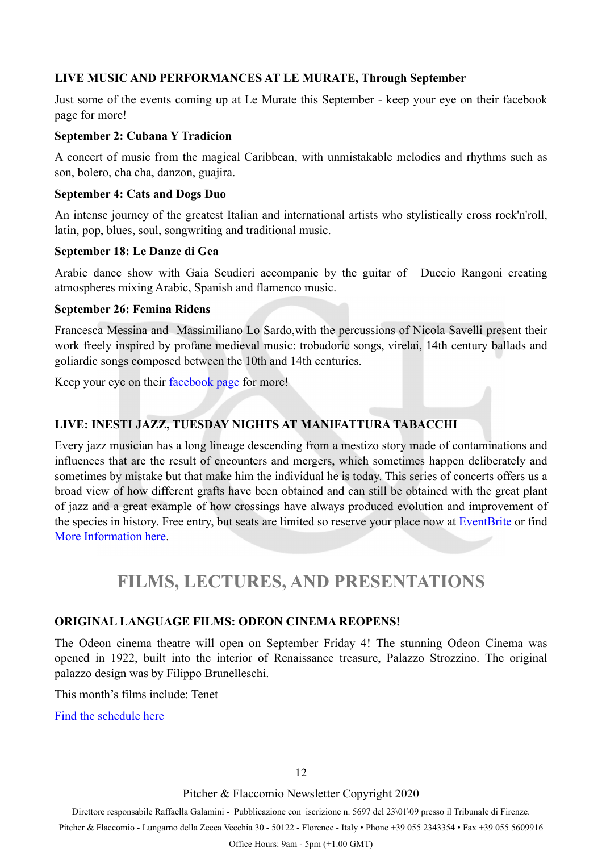#### **LIVE MUSIC AND PERFORMANCES AT LE MURATE, Through September**

Just some of the events coming up at Le Murate this September - keep your eye on their facebook page for more!

#### **September 2: Cubana Y Tradicion**

A concert of music from the magical Caribbean, with unmistakable melodies and rhythms such as son, bolero, cha cha, danzon, guajira.

#### **September 4: Cats and Dogs Duo**

An intense journey of the greatest Italian and international artists who stylistically cross rock'n'roll, latin, pop, blues, soul, songwriting and traditional music.

#### **September 18: Le Danze di Gea**

Arabic dance show with Gaia Scudieri accompanie by the guitar of Duccio Rangoni creating atmospheres mixing Arabic, Spanish and flamenco music.

#### **September 26: Femina Ridens**

Francesca Messina and Massimiliano Lo Sardo,with the percussions of Nicola Savelli present their work freely inspired by profane medieval music: trobadoric songs, virelai, 14th century ballads and goliardic songs composed between the 10th and 14th centuries.

Keep your eye on their [facebook page](https://www.facebook.com/LeMurate.CaffeLetterario.Firenze/) for more!

#### **LIVE: INESTI JAZZ, TUESDAY NIGHTS AT MANIFATTURA TABACCHI**

Every jazz musician has a long lineage descending from a mestizo story made of contaminations and influences that are the result of encounters and mergers, which sometimes happen deliberately and sometimes by mistake but that make him the individual he is today. This series of concerts offers us a broad view of how different grafts have been obtained and can still be obtained with the great plant of jazz and a great example of how crossings have always produced evolution and improvement of the species in history. Free entry, but seats are limited so reserve your place now at **EventBrite** or find [More Information here.](https://www.facebook.com/events/812405955954458/)

## <span id="page-11-0"></span>**FILMS, LECTURES, AND PRESENTATIONS**

#### **ORIGINAL LANGUAGE FILMS: ODEON CINEMA REOPENS!**

The Odeon cinema theatre will open on September Friday 4! The stunning Odeon Cinema was opened in 1922, built into the interior of Renaissance treasure, Palazzo Strozzino. The original palazzo design was by Filippo Brunelleschi.

This month's films include: Tenet

[Find the schedule here](http://www.odeonfirenze.com/al-3-settembre-tenet/)

Pitcher & Flaccomio Newsletter Copyright 2020

Direttore responsabile Raffaella Galamini - Pubblicazione con iscrizione n. 5697 del 23\01\09 presso il Tribunale di Firenze.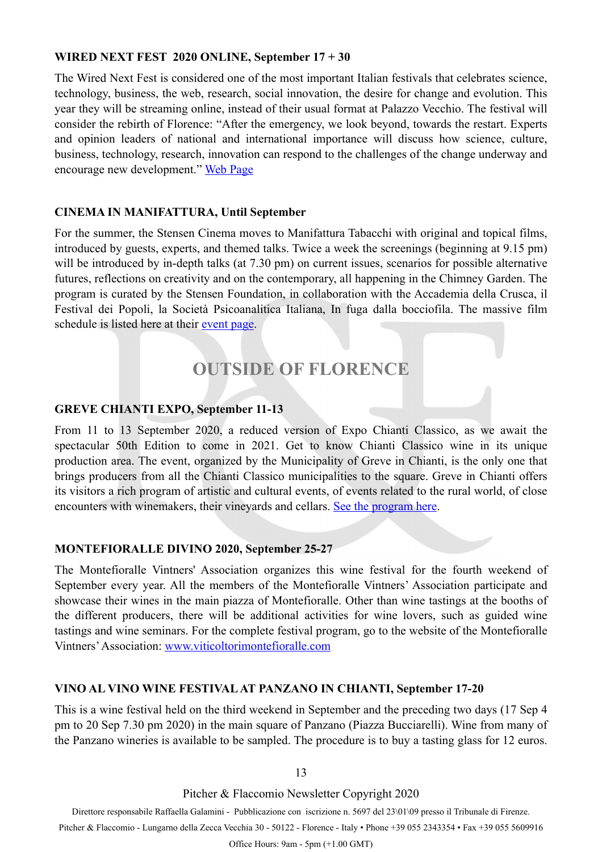#### **WIRED NEXT FEST 2020 ONLINE, September 17 + 30**

The Wired Next Fest is considered one of the most important Italian festivals that celebrates science, technology, business, the web, research, social innovation, the desire for change and evolution. This year they will be streaming online, instead of their usual format at Palazzo Vecchio. The festival will consider the rebirth of Florence: "After the emergency, we look beyond, towards the restart. Experts and opinion leaders of national and international importance will discuss how science, culture, business, technology, research, innovation can respond to the challenges of the change underway and encourage new development." [Web Page](https://nextfest2020.wired.it/)

#### **CINEMA IN MANIFATTURA, Until September**

For the summer, the Stensen Cinema moves to Manifattura Tabacchi with original and topical films, introduced by guests, experts, and themed talks. Twice a week the screenings (beginning at 9.15 pm) will be introduced by in-depth talks (at 7.30 pm) on current issues, scenarios for possible alternative futures, reflections on creativity and on the contemporary, all happening in the Chimney Garden. The program is curated by the Stensen Foundation, in collaboration with the Accademia della Crusca, il Festival dei Popoli, la Società Psicoanalitica Italiana, In fuga dalla bocciofila. The massive film schedule is listed here at their [event page.](https://www.facebook.com/events/1202649106737664/?event_time_id=1202649193404322)

## <span id="page-12-0"></span>**OUTSIDE OF FLORENCE**

#### **GREVE CHIANTI EXPO, September 11-13**

From 11 to 13 September 2020, a reduced version of Expo Chianti Classico, as we await the spectacular 50th Edition to come in 2021. Get to know Chianti Classico wine in its unique production area. The event, organized by the Municipality of Greve in Chianti, is the only one that brings producers from all the Chianti Classico municipalities to the square. Greve in Chianti offers its visitors a rich program of artistic and cultural events, of events related to the rural world, of close encounters with winemakers, their vineyards and cellars. [See the program here.](https://www.expochianticlassico.com/pagina/3)

#### **MONTEFIORALLE DIVINO 2020, September 25-27**

The Montefioralle Vintners' Association organizes this wine festival for the fourth weekend of September every year. All the members of the Montefioralle Vintners' Association participate and showcase their wines in the main piazza of Montefioralle. Other than wine tastings at the booths of the different producers, there will be additional activities for wine lovers, such as guided wine tastings and wine seminars. For the complete festival program, go to the website of the Montefioralle Vintners' Association: [www.viticoltorimontefioralle.com](http://viticoltorimontefioralle.com/en/)

#### **VINO AL VINO WINE FESTIVAL AT PANZANO IN CHIANTI, September 17-20**

This is a wine festival held on the third weekend in September and the preceding two days (17 Sep 4 pm to 20 Sep 7.30 pm 2020) in the main square of Panzano (Piazza Bucciarelli). Wine from many of the Panzano wineries is available to be sampled. The procedure is to buy a tasting glass for 12 euros.

13

Pitcher & Flaccomio Newsletter Copyright 2020

Direttore responsabile Raffaella Galamini - Pubblicazione con iscrizione n. 5697 del 23\01\09 presso il Tribunale di Firenze.

Pitcher & Flaccomio - Lungarno della Zecca Vecchia 30 - 50122 - Florence - Italy • Phone +39 055 2343354 • Fax +39 055 5609916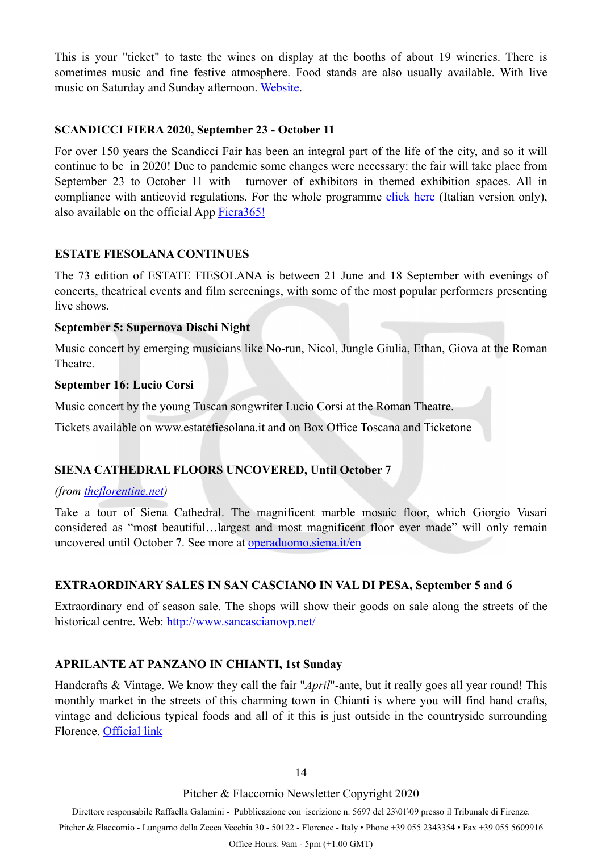This is your "ticket" to taste the wines on display at the booths of about 19 wineries. There is sometimes music and fine festive atmosphere. Food stands are also usually available. With live music on Saturday and Sunday afternoon. [Website.](https://www.panzano.com/important-dates/important-dates-eng.htm)

#### **SCANDICCI FIERA 2020, September 23 - October 11**

For over 150 years the Scandicci Fair has been an integral part of the life of the city, and so it will continue to be in 2020! Due to pandemic some changes were necessary: the fair will take place from September 23 to October 11 with turnover of exhibitors in themed exhibition spaces. All in compliance with anticovid regulations. For the whole programm[e click here](https://www.scandiccifiera.it/programma-scandicci-fiera/programma-generale-scandicci-fiera) (Italian version only), also available on the official App [Fiera365!](https://www.scandiccifiera.it/blog/113-app-ufficiale-fiera365)

#### **ESTATE FIESOLANA CONTINUES**

The 73 edition of ESTATE FIESOLANA is between 21 June and 18 September with evenings of concerts, theatrical events and film screenings, with some of the most popular performers presenting live shows.

#### **September 5: Supernova Dischi Night**

Music concert by emerging musicians like No-run, Nicol, Jungle Giulia, Ethan, Giova at the Roman **Theatre** 

#### **September 16: Lucio Corsi**

Music concert by the young Tuscan songwriter Lucio Corsi at the Roman Theatre.

Tickets available on www.estatefiesolana.it and on Box Office Toscana and Ticketone

#### **SIENA CATHEDRAL FLOORS UNCOVERED, Until October 7**

#### *(from [theflorentine.net\)](http://theflorentine.net)*

Take a tour of Siena Cathedral. The magnificent marble mosaic floor, which Giorgio Vasari considered as "most beautiful…largest and most magnificent floor ever made" will only remain uncovered until October 7. See more at [operaduomo.siena.it/en](http://operaduomo.siena.it/en)

#### **EXTRAORDINARY SALES IN SAN CASCIANO IN VAL DI PESA, September 5 and 6**

Extraordinary end of season sale. The shops will show their goods on sale along the streets of the historical centre. Web: <http://www.sancascianovp.net/>

#### **APRILANTE AT PANZANO IN CHIANTI, 1st Sunday**

Handcrafts & Vintage. We know they call the fair "*April*"-ante, but it really goes all year round! This monthly market in the streets of this charming town in Chianti is where you will find hand crafts, vintage and delicious typical foods and all of it this is just outside in the countryside surrounding Florence. [Official link](http://www.chianti.com/panzano-in-chianti.html)

14

Pitcher & Flaccomio Newsletter Copyright 2020

Direttore responsabile Raffaella Galamini - Pubblicazione con iscrizione n. 5697 del 23\01\09 presso il Tribunale di Firenze.

Pitcher & Flaccomio - Lungarno della Zecca Vecchia 30 - 50122 - Florence - Italy • Phone +39 055 2343354 • Fax +39 055 5609916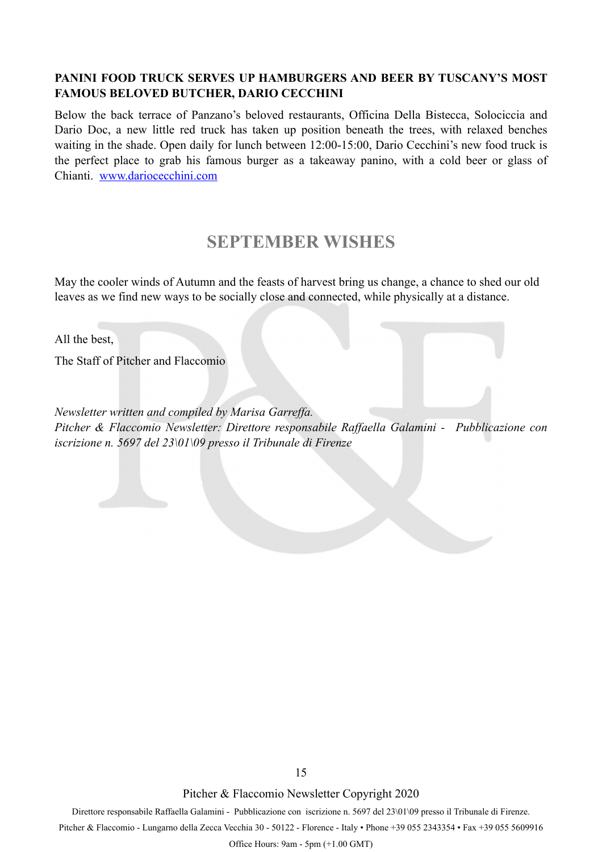#### **PANINI FOOD TRUCK SERVES UP HAMBURGERS AND BEER BY TUSCANY'S MOST FAMOUS BELOVED BUTCHER, DARIO CECCHINI**

Below the back terrace of Panzano's beloved restaurants, Officina Della Bistecca, Solociccia and Dario Doc, a new little red truck has taken up position beneath the trees, with relaxed benches waiting in the shade. Open daily for lunch between 12:00-15:00, Dario Cecchini's new food truck is the perfect place to grab his famous burger as a takeaway panino, with a cold beer or glass of Chianti. [www.dariocecchini.com](https://l.facebook.com/l.php?u=http%3A%2F%2Fwww.dariocecchini.com%2F%3Ffbclid%3DIwAR08uzbgPcraXgst3VZgdKduk7ZtnUdLOTKF0Qx1eE7_16WRSM5gvQdzY2E&h=AT2cEyGPIcPecp-d1foxxtgE7OdYlrWE7B9fUIZAGEdeyaIGpLgzoqmb7Uv51jpzoRnIhE4aCA_1MN23KRoBvZNza304JRZ60efz4wy8ireBA2NXSbg-Ku4Le7gkRauBdSjYyzcJIsSRg6P8nbqBjqP6g3WGb3q7N9PAp04Zby_j6MxGV9gJmd5758TIw_POit70Yn4GRghkyvH8KUl5CPzadV9FxWB_PBrd4ZH_uXrcdGzCrF7zAMLpCLtH-cj_Vkcv-MXEYQLhjJiu8i4yf5OuqVa2X7EvXJ26WS5i3ZLVBVP_wptHfUXsoFayJD0KvTZ942xIXHcXIY4OpV1-kKCNtQ5zrsw9smdf1fR3Ytonle6du59hNW3vEExLINI1N_Txc1LLEFHxBbF7OVBbsisi9231VEo25jpf_Pf8eANZAqGUHUF2YeDXjykrnHOL8BGlCpZZNaPTQUQJMBqWPGoy9crGEtuGmyRk9JpiJtGLtW4-yTODDeUemcrnLnimt0R-WcTjSfJ1bW9TlWi90JnBEEygAo_wL0stAYmT5119MgANzUiU66r7WZeIHrs5vl8BPtx28tFfZ-tHEoC5yzi1za-cra24tXD-DObhD5AV6BnQsFW54huVAtPuJQAfzM3GpW_e9datb-Coy10)

### **SEPTEMBER WISHES**

May the cooler winds of Autumn and the feasts of harvest bring us change, a chance to shed our old leaves as we find new ways to be socially close and connected, while physically at a distance.

All the best,

The Staff of Pitcher and Flaccomio

*Newsletter written and compiled by Marisa Garreffa. Pitcher & Flaccomio Newsletter: Direttore responsabile Raffaella Galamini - Pubblicazione con iscrizione n. 5697 del 23\01\09 presso il Tribunale di Firenze* 

Pitcher & Flaccomio Newsletter Copyright 2020

Direttore responsabile Raffaella Galamini - Pubblicazione con iscrizione n. 5697 del 23\01\09 presso il Tribunale di Firenze.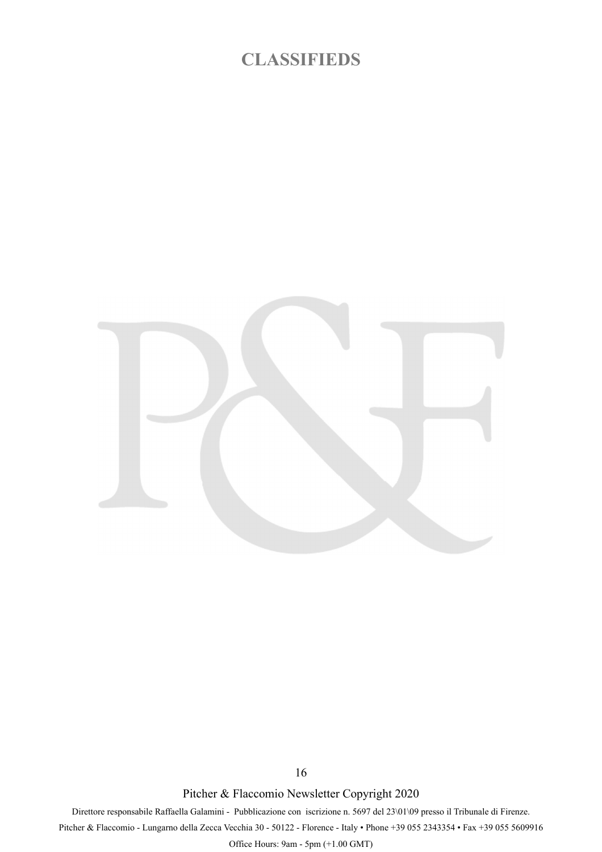### **CLASSIFIEDS**



Pitcher & Flaccomio Newsletter Copyright 2020

16

Direttore responsabile Raffaella Galamini - Pubblicazione con iscrizione n. 5697 del 23\01\09 presso il Tribunale di Firenze.

Pitcher & Flaccomio - Lungarno della Zecca Vecchia 30 - 50122 - Florence - Italy • Phone +39 055 2343354 • Fax +39 055 5609916